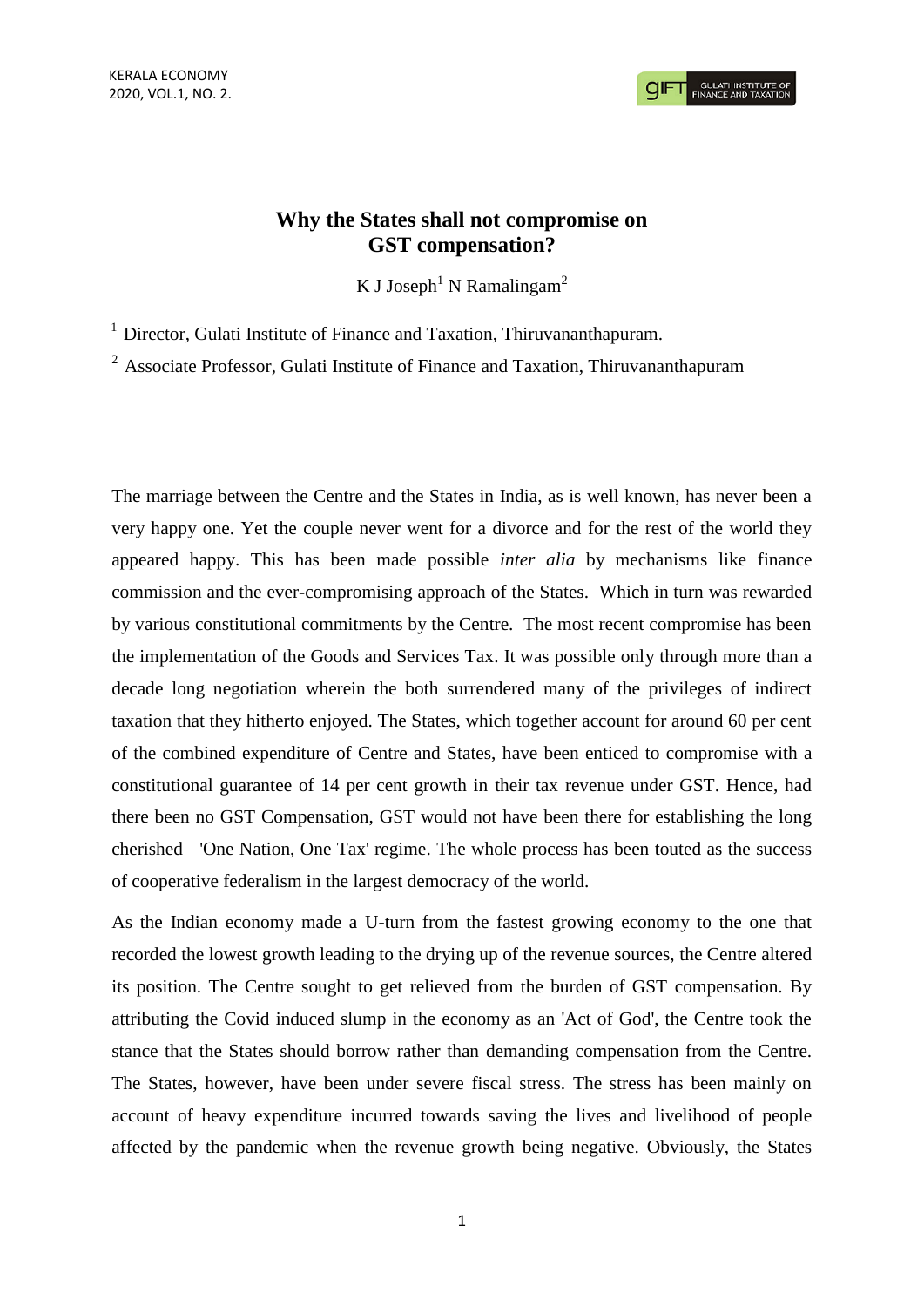# **Why the States shall not compromise on GST compensation?**

K J Joseph<sup>1</sup> N Ramalingam<sup>2</sup>

 $1$  Director, Gulati Institute of Finance and Taxation, Thiruvananthapuram.

<sup>2</sup> Associate Professor, Gulati Institute of Finance and Taxation, Thiruvananthapuram

The marriage between the Centre and the States in India, as is well known, has never been a very happy one. Yet the couple never went for a divorce and for the rest of the world they appeared happy. This has been made possible *inter alia* by mechanisms like finance commission and the ever-compromising approach of the States. Which in turn was rewarded by various constitutional commitments by the Centre. The most recent compromise has been the implementation of the Goods and Services Tax. It was possible only through more than a decade long negotiation wherein the both surrendered many of the privileges of indirect taxation that they hitherto enjoyed. The States, which together account for around 60 per cent of the combined expenditure of Centre and States, have been enticed to compromise with a constitutional guarantee of 14 per cent growth in their tax revenue under GST. Hence, had there been no GST Compensation, GST would not have been there for establishing the long cherished 'One Nation, One Tax' regime. The whole process has been touted as the success of cooperative federalism in the largest democracy of the world.

As the Indian economy made a U-turn from the fastest growing economy to the one that recorded the lowest growth leading to the drying up of the revenue sources, the Centre altered its position. The Centre sought to get relieved from the burden of GST compensation. By attributing the Covid induced slump in the economy as an 'Act of God', the Centre took the stance that the States should borrow rather than demanding compensation from the Centre. The States, however, have been under severe fiscal stress. The stress has been mainly on account of heavy expenditure incurred towards saving the lives and livelihood of people affected by the pandemic when the revenue growth being negative. Obviously, the States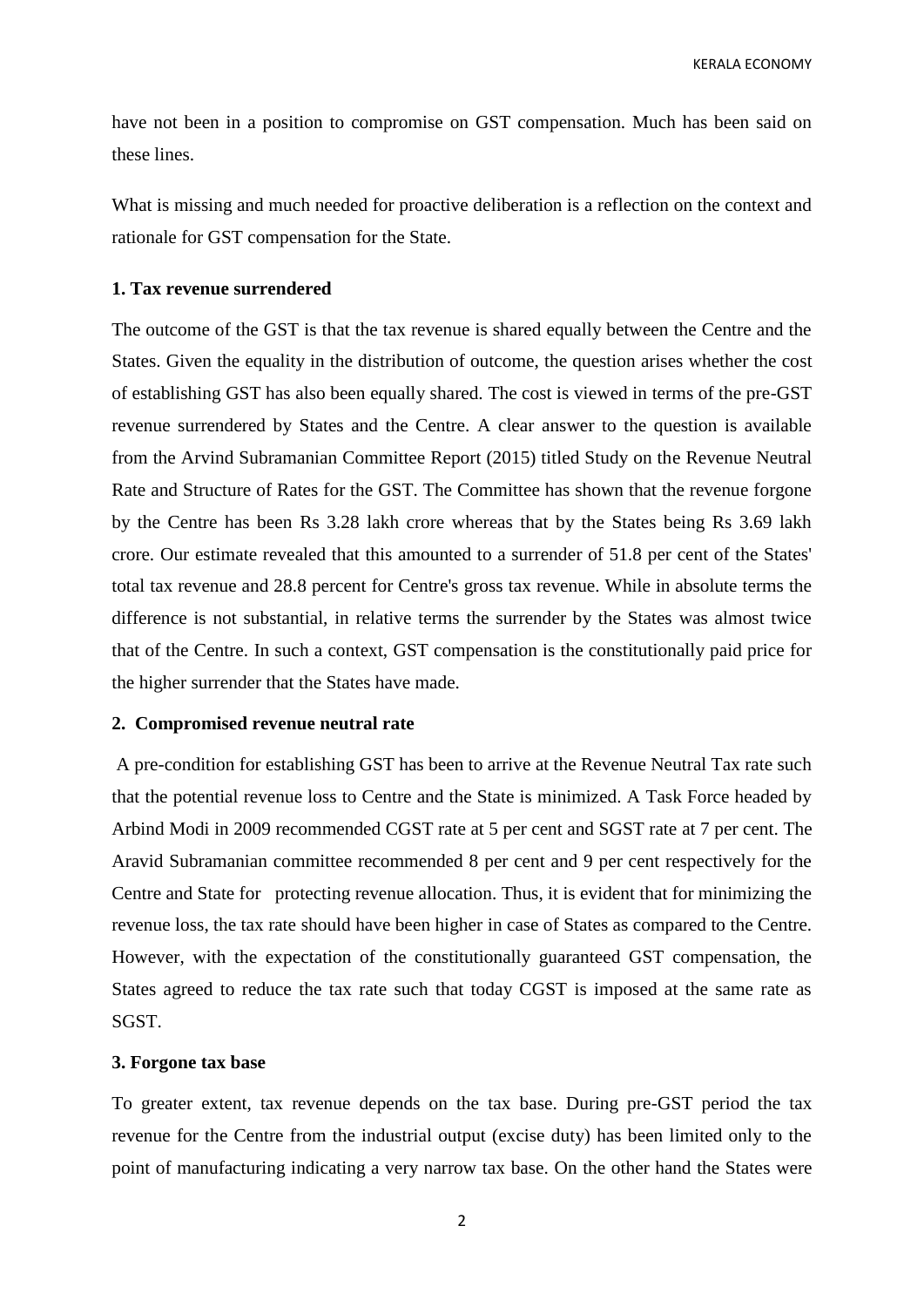KERALA ECONOMY

have not been in a position to compromise on GST compensation. Much has been said on these lines.

What is missing and much needed for proactive deliberation is a reflection on the context and rationale for GST compensation for the State.

#### **1. Tax revenue surrendered**

The outcome of the GST is that the tax revenue is shared equally between the Centre and the States. Given the equality in the distribution of outcome, the question arises whether the cost of establishing GST has also been equally shared. The cost is viewed in terms of the pre-GST revenue surrendered by States and the Centre. A clear answer to the question is available from the Arvind Subramanian Committee Report (2015) titled Study on the Revenue Neutral Rate and Structure of Rates for the GST. The Committee has shown that the revenue forgone by the Centre has been Rs 3.28 lakh crore whereas that by the States being Rs 3.69 lakh crore. Our estimate revealed that this amounted to a surrender of 51.8 per cent of the States' total tax revenue and 28.8 percent for Centre's gross tax revenue. While in absolute terms the difference is not substantial, in relative terms the surrender by the States was almost twice that of the Centre. In such a context, GST compensation is the constitutionally paid price for the higher surrender that the States have made.

### **2. Compromised revenue neutral rate**

A pre-condition for establishing GST has been to arrive at the Revenue Neutral Tax rate such that the potential revenue loss to Centre and the State is minimized. A Task Force headed by Arbind Modi in 2009 recommended CGST rate at 5 per cent and SGST rate at 7 per cent. The Aravid Subramanian committee recommended 8 per cent and 9 per cent respectively for the Centre and State for protecting revenue allocation. Thus, it is evident that for minimizing the revenue loss, the tax rate should have been higher in case of States as compared to the Centre. However, with the expectation of the constitutionally guaranteed GST compensation, the States agreed to reduce the tax rate such that today CGST is imposed at the same rate as SGST.

#### **3. Forgone tax base**

To greater extent, tax revenue depends on the tax base. During pre-GST period the tax revenue for the Centre from the industrial output (excise duty) has been limited only to the point of manufacturing indicating a very narrow tax base. On the other hand the States were

2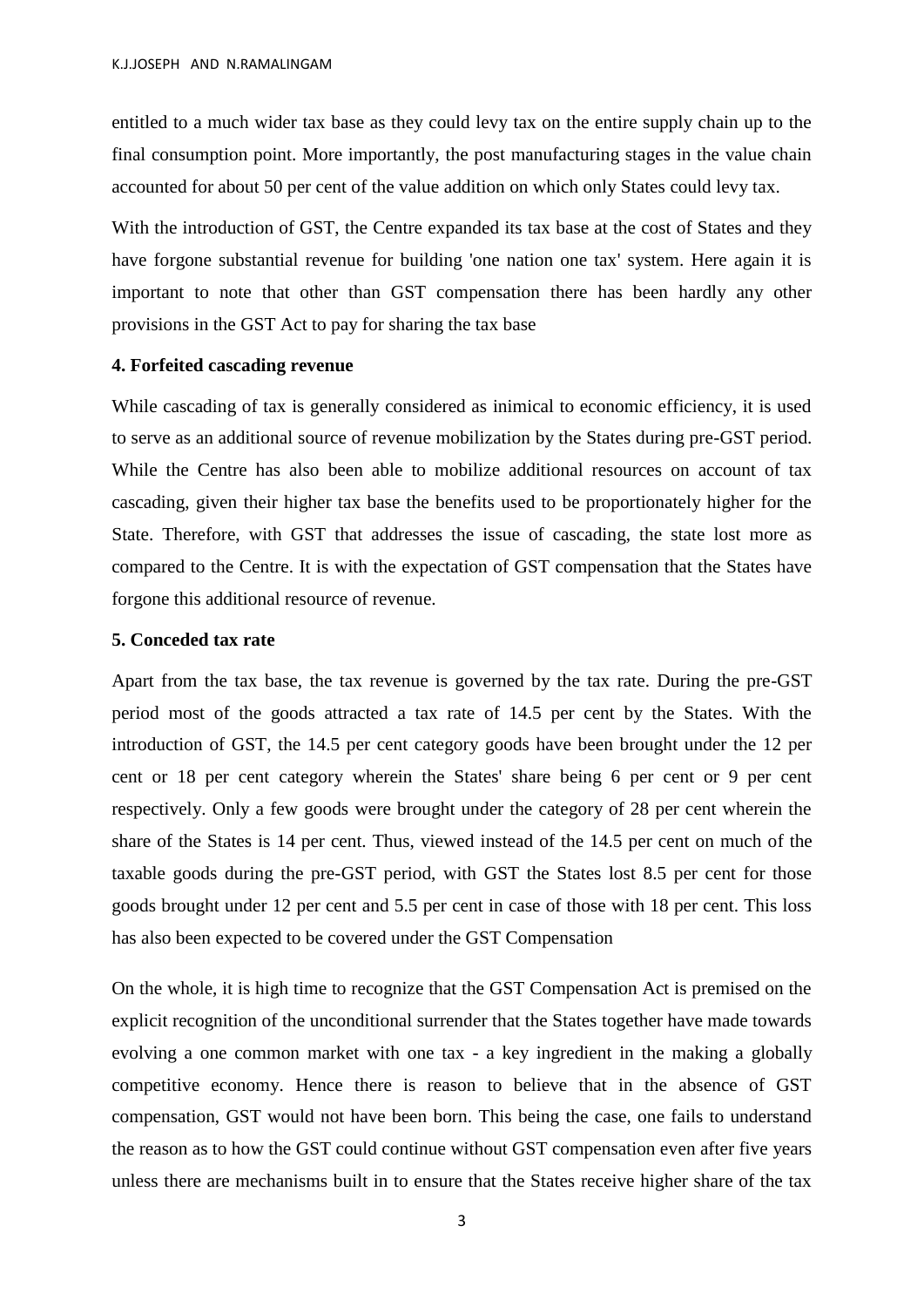entitled to a much wider tax base as they could levy tax on the entire supply chain up to the final consumption point. More importantly, the post manufacturing stages in the value chain accounted for about 50 per cent of the value addition on which only States could levy tax.

With the introduction of GST, the Centre expanded its tax base at the cost of States and they have forgone substantial revenue for building 'one nation one tax' system. Here again it is important to note that other than GST compensation there has been hardly any other provisions in the GST Act to pay for sharing the tax base

#### **4. Forfeited cascading revenue**

While cascading of tax is generally considered as inimical to economic efficiency, it is used to serve as an additional source of revenue mobilization by the States during pre-GST period. While the Centre has also been able to mobilize additional resources on account of tax cascading, given their higher tax base the benefits used to be proportionately higher for the State. Therefore, with GST that addresses the issue of cascading, the state lost more as compared to the Centre. It is with the expectation of GST compensation that the States have forgone this additional resource of revenue.

## **5. Conceded tax rate**

Apart from the tax base, the tax revenue is governed by the tax rate. During the pre-GST period most of the goods attracted a tax rate of 14.5 per cent by the States. With the introduction of GST, the 14.5 per cent category goods have been brought under the 12 per cent or 18 per cent category wherein the States' share being 6 per cent or 9 per cent respectively. Only a few goods were brought under the category of 28 per cent wherein the share of the States is 14 per cent. Thus, viewed instead of the 14.5 per cent on much of the taxable goods during the pre-GST period, with GST the States lost 8.5 per cent for those goods brought under 12 per cent and 5.5 per cent in case of those with 18 per cent. This loss has also been expected to be covered under the GST Compensation

On the whole, it is high time to recognize that the GST Compensation Act is premised on the explicit recognition of the unconditional surrender that the States together have made towards evolving a one common market with one tax - a key ingredient in the making a globally competitive economy. Hence there is reason to believe that in the absence of GST compensation, GST would not have been born. This being the case, one fails to understand the reason as to how the GST could continue without GST compensation even after five years unless there are mechanisms built in to ensure that the States receive higher share of the tax